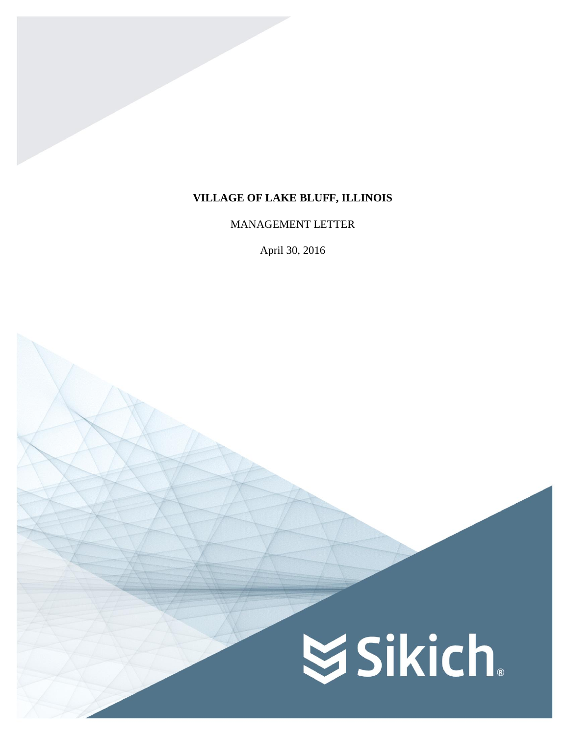# **VILLAGE OF LAKE BLUFF, ILLINOIS**

MANAGEMENT LETTER

April 30, 2016

# **SSikich**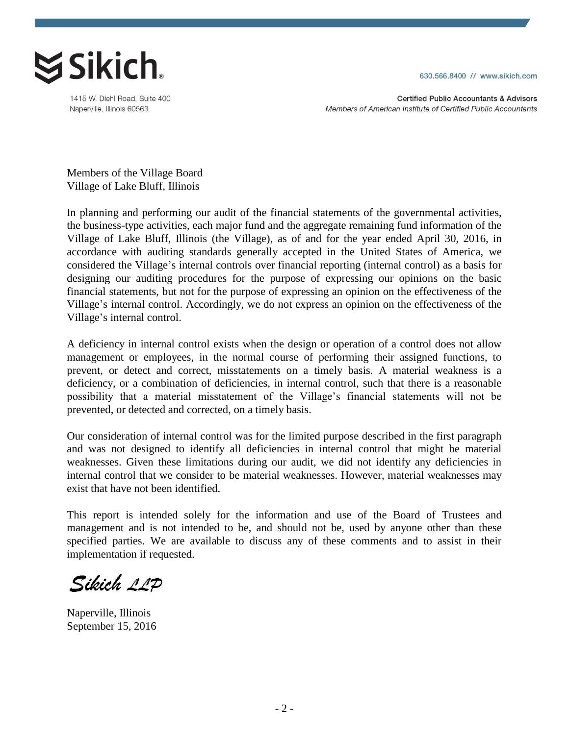

1415 W. Diehl Road, Suite 400 Naperville, Illinois 60563

630.566.8400 // www.sikich.com

**Certified Public Accountants & Advisors** Members of American Institute of Certified Public Accountants

Members of the Village Board Village of Lake Bluff, Illinois

In planning and performing our audit of the financial statements of the governmental activities, the business-type activities, each major fund and the aggregate remaining fund information of the Village of Lake Bluff, Illinois (the Village), as of and for the year ended April 30, 2016, in accordance with auditing standards generally accepted in the United States of America, we considered the Village's internal controls over financial reporting (internal control) as a basis for designing our auditing procedures for the purpose of expressing our opinions on the basic financial statements, but not for the purpose of expressing an opinion on the effectiveness of the Village's internal control. Accordingly, we do not express an opinion on the effectiveness of the Village's internal control.

A deficiency in internal control exists when the design or operation of a control does not allow management or employees, in the normal course of performing their assigned functions, to prevent, or detect and correct, misstatements on a timely basis. A material weakness is a deficiency, or a combination of deficiencies, in internal control, such that there is a reasonable possibility that a material misstatement of the Village's financial statements will not be prevented, or detected and corrected, on a timely basis.

Our consideration of internal control was for the limited purpose described in the first paragraph and was not designed to identify all deficiencies in internal control that might be material weaknesses. Given these limitations during our audit, we did not identify any deficiencies in internal control that we consider to be material weaknesses. However, material weaknesses may exist that have not been identified.

This report is intended solely for the information and use of the Board of Trustees and management and is not intended to be, and should not be, used by anyone other than these specified parties. We are available to discuss any of these comments and to assist in their implementation if requested.

Sikich 11P

Naperville, Illinois September 15, 2016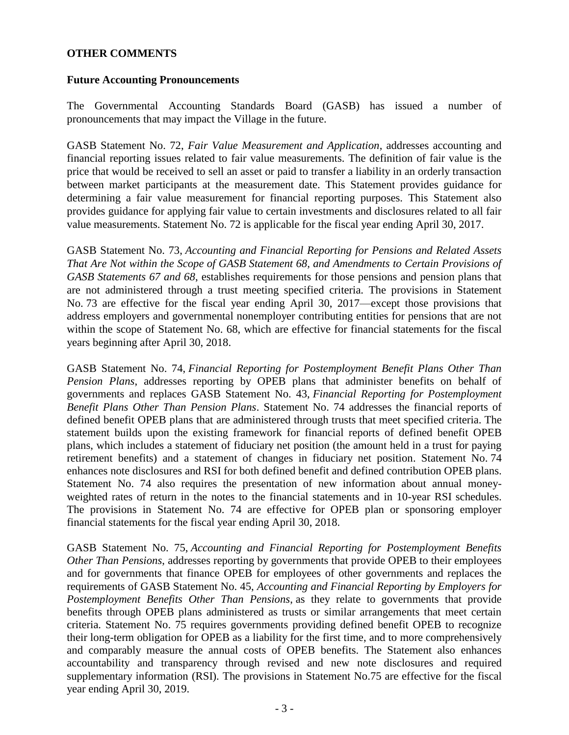# **OTHER COMMENTS**

# **Future Accounting Pronouncements**

The Governmental Accounting Standards Board (GASB) has issued a number of pronouncements that may impact the Village in the future.

GASB Statement No. 72, *Fair Value Measurement and Application*, addresses accounting and financial reporting issues related to fair value measurements. The definition of fair value is the price that would be received to sell an asset or paid to transfer a liability in an orderly transaction between market participants at the measurement date. This Statement provides guidance for determining a fair value measurement for financial reporting purposes. This Statement also provides guidance for applying fair value to certain investments and disclosures related to all fair value measurements. Statement No. 72 is applicable for the fiscal year ending April 30, 2017.

GASB Statement No. 73, *Accounting and Financial Reporting for Pensions and Related Assets That Are Not within the Scope of GASB Statement 68, and Amendments to Certain Provisions of GASB Statements 67 and 68*, establishes requirements for those pensions and pension plans that are not administered through a trust meeting specified criteria. The provisions in Statement No. 73 are effective for the fiscal year ending April 30, 2017—except those provisions that address employers and governmental nonemployer contributing entities for pensions that are not within the scope of Statement No. 68, which are effective for financial statements for the fiscal years beginning after April 30, 2018.

GASB Statement No. 74, *Financial Reporting for Postemployment Benefit Plans Other Than Pension Plans*, addresses reporting by OPEB plans that administer benefits on behalf of governments and replaces GASB Statement No. 43, *Financial Reporting for Postemployment Benefit Plans Other Than Pension Plans*. Statement No. 74 addresses the financial reports of defined benefit OPEB plans that are administered through trusts that meet specified criteria. The statement builds upon the existing framework for financial reports of defined benefit OPEB plans, which includes a statement of fiduciary net position (the amount held in a trust for paying retirement benefits) and a statement of changes in fiduciary net position. Statement No. 74 enhances note disclosures and RSI for both defined benefit and defined contribution OPEB plans. Statement No. 74 also requires the presentation of new information about annual moneyweighted rates of return in the notes to the financial statements and in 10-year RSI schedules. The provisions in Statement No. 74 are effective for OPEB plan or sponsoring employer financial statements for the fiscal year ending April 30, 2018.

GASB Statement No. 75, *Accounting and Financial Reporting for Postemployment Benefits Other Than Pensions*, addresses reporting by governments that provide OPEB to their employees and for governments that finance OPEB for employees of other governments and replaces the requirements of GASB Statement No. 45, *Accounting and Financial Reporting by Employers for Postemployment Benefits Other Than Pensions*, as they relate to governments that provide benefits through OPEB plans administered as trusts or similar arrangements that meet certain criteria. Statement No. 75 requires governments providing defined benefit OPEB to recognize their long-term obligation for OPEB as a liability for the first time, and to more comprehensively and comparably measure the annual costs of OPEB benefits. The Statement also enhances accountability and transparency through revised and new note disclosures and required supplementary information (RSI). The provisions in Statement No.75 are effective for the fiscal year ending April 30, 2019.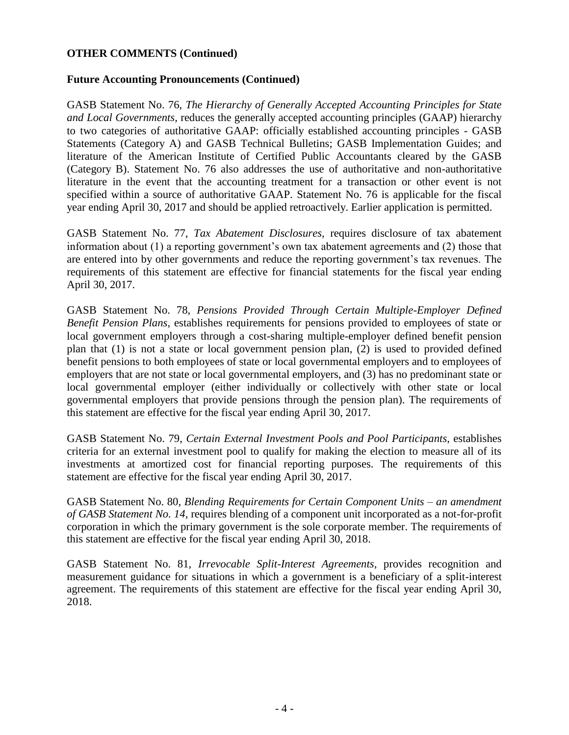# **OTHER COMMENTS (Continued)**

# **Future Accounting Pronouncements (Continued)**

GASB Statement No. 76, *The Hierarchy of Generally Accepted Accounting Principles for State and Local Governments,* reduces the generally accepted accounting principles (GAAP) hierarchy to two categories of authoritative GAAP: officially established accounting principles - GASB Statements (Category A) and GASB Technical Bulletins; GASB Implementation Guides; and literature of the American Institute of Certified Public Accountants cleared by the GASB (Category B). Statement No. 76 also addresses the use of authoritative and non-authoritative literature in the event that the accounting treatment for a transaction or other event is not specified within a source of authoritative GAAP. Statement No. 76 is applicable for the fiscal year ending April 30, 2017 and should be applied retroactively. Earlier application is permitted.

GASB Statement No. 77, *Tax Abatement Disclosures,* requires disclosure of tax abatement information about (1) a reporting government's own tax abatement agreements and (2) those that are entered into by other governments and reduce the reporting government's tax revenues. The requirements of this statement are effective for financial statements for the fiscal year ending April 30, 2017.

GASB Statement No. 78, *Pensions Provided Through Certain Multiple-Employer Defined Benefit Pension Plans*, establishes requirements for pensions provided to employees of state or local government employers through a cost-sharing multiple-employer defined benefit pension plan that (1) is not a state or local government pension plan, (2) is used to provided defined benefit pensions to both employees of state or local governmental employers and to employees of employers that are not state or local governmental employers, and (3) has no predominant state or local governmental employer (either individually or collectively with other state or local governmental employers that provide pensions through the pension plan). The requirements of this statement are effective for the fiscal year ending April 30, 2017.

GASB Statement No. 79, *Certain External Investment Pools and Pool Participants*, establishes criteria for an external investment pool to qualify for making the election to measure all of its investments at amortized cost for financial reporting purposes. The requirements of this statement are effective for the fiscal year ending April 30, 2017.

GASB Statement No. 80, *Blending Requirements for Certain Component Units – an amendment of GASB Statement No. 14*, requires blending of a component unit incorporated as a not-for-profit corporation in which the primary government is the sole corporate member. The requirements of this statement are effective for the fiscal year ending April 30, 2018.

GASB Statement No. 81, *Irrevocable Split-Interest Agreements*, provides recognition and measurement guidance for situations in which a government is a beneficiary of a split-interest agreement. The requirements of this statement are effective for the fiscal year ending April 30, 2018.